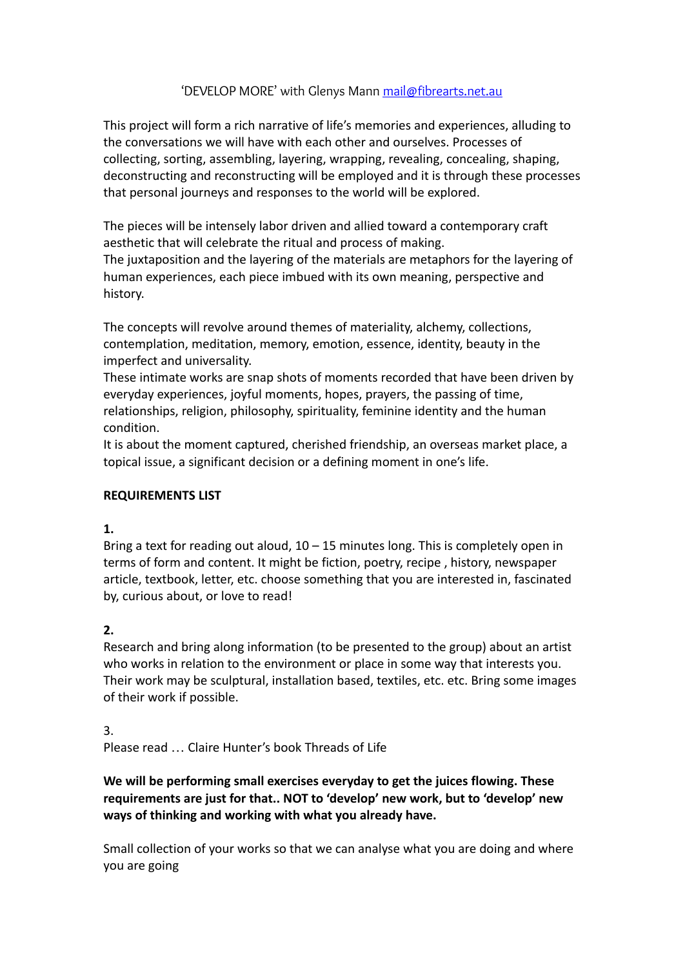## 'DEVELOP MORE' with Glenys Mann [mail@fibrearts.net.au](mailto:mail@fibrearts.net.au)

This project will form a rich narrative of life's memories and experiences, alluding to the conversations we will have with each other and ourselves. Processes of collecting, sorting, assembling, layering, wrapping, revealing, concealing, shaping, deconstructing and reconstructing will be employed and it is through these processes that personal journeys and responses to the world will be explored.

The pieces will be intensely labor driven and allied toward a contemporary craft aesthetic that will celebrate the ritual and process of making.

The juxtaposition and the layering of the materials are metaphors for the layering of human experiences, each piece imbued with its own meaning, perspective and history.

The concepts will revolve around themes of materiality, alchemy, collections, contemplation, meditation, memory, emotion, essence, identity, beauty in the imperfect and universality.

These intimate works are snap shots of moments recorded that have been driven by everyday experiences, joyful moments, hopes, prayers, the passing of time, relationships, religion, philosophy, spirituality, feminine identity and the human condition.

It is about the moment captured, cherished friendship, an overseas market place, a topical issue, a significant decision or a defining moment in one's life.

## **REQUIREMENTS LIST**

## **1.**

Bring a text for reading out aloud,  $10 - 15$  minutes long. This is completely open in terms of form and content. It might be fiction, poetry, recipe , history, newspaper article, textbook, letter, etc. choose something that you are interested in, fascinated by, curious about, or love to read!

## **2.**

Research and bring along information (to be presented to the group) about an artist who works in relation to the environment or place in some way that interests you. Their work may be sculptural, installation based, textiles, etc. etc. Bring some images of their work if possible.

3. Please read … Claire Hunter's book Threads of Life

**We will be performing small exercises everyday to get the juices flowing. These requirements are just for that.. NOT to 'develop' new work, but to 'develop' new ways of thinking and working with what you already have.**

Small collection of your works so that we can analyse what you are doing and where you are going